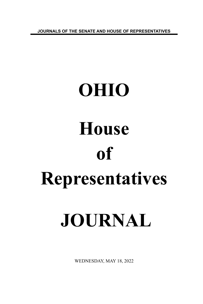**JOURNALS OF THE SENATE AND HOUSE OF REPRESENTATIVES**

# **OHIO House of Representatives JOURNAL**

WEDNESDAY, MAY 18, 2022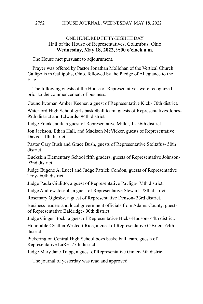# ONE HUNDRED FIFTY-EIGHTH DAY Hall of the House of Representatives, Columbus, Ohio **Wednesday, May 18, 2022, 9:00 o'clock a.m.**

The House met pursuant to adjournment.

Prayer was offered by Pastor Jonathan Mollohan of the Vertical Church Gallipolis in Gallipolis, Ohio, followed by the Pledge of Allegiance to the Flag.

The following guests of the House of Representatives were recognized prior to the commencement of business:

Councilwoman Amber Keener, a guest of Representative Kick- 70th district.

Waterford High School girls basketball team, guests of Representatives Jones-95th district and Edwards- 94th district.

Judge Frank Janik, a guest of Representative Miller, J.- 56th district.

Jon Jackson, Ethan Hall, and Madison McVicker, guests of Representative Davis- 11th district.

Pastor Gary Bush and Grace Bush, guests of Representative Stoltzfus- 50th district.

Buckskin Elementary School fifth graders, guests of Representative Johnson-92nd district.

Judge Eugene A. Lucci and Judge Patrick Condon, guests of Representative Troy- 60th district.

Judge Paula Giulitto, a guest of Representative Pavliga- 75th district.

Judge Andrew Joseph, a guest of Representative Stewart- 78th district.

Rosemary Oglesby, a guest of Representative Denson- 33rd district.

Business leaders and local government officials from Adams County, guests of Representative Baldridge- 90th district.

Judge Ginger Bock, a guest of Representative Hicks-Hudson- 44th district.

Honorable Cynthia Westcott Rice, a guest of Representative O'Brien- 64th district.

Pickerington Central High School boys basketball team, guests of Representative LaRe- 77th district.

Judge Mary Jane Trapp, a guest of Representative Ginter- 5th district.

The journal of yesterday was read and approved.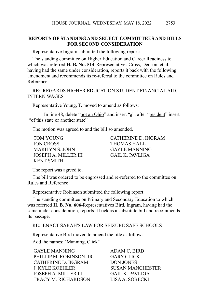# **REPORTS OF STANDING AND SELECT COMMITTEES AND BILLS FOR SECOND CONSIDERATION**

Representative Ingram submitted the following report:

The standing committee on Higher Education and Career Readiness to which was referred **H. B. No. 514**-Representatives Cross, Denson, et al., having had the same under consideration, reports it back with the following amendment and recommends its re-referral to the committee on Rules and Reference.

RE: REGARDS HIGHER EDUCATION STUDENT FINANCIAL AID, INTERN WAGES

Representative Young, T. moved to amend as follows:

In line 48, delete "not an Ohio" and insert "a"; after "resident" insert "of this state or another state"

The motion was agreed to and the bill so amended.

JON CROSS THOMAS HALL MARILYN S. JOHN GAYLE MANNING JOSEPH A. MILLER III GAIL K. PAVLIGA KENT SMITH

TOM YOUNG CATHERINE D. INGRAM

The report was agreed to.

The bill was ordered to be engrossed and re-referred to the committee on Rules and Reference.

Representative Robinson submitted the following report:

The standing committee on Primary and Secondary Education to which was referred **H. B. No. 606**-Representatives Bird, Ingram, having had the same under consideration, reports it back as a substitute bill and recommends its passage.

RE: ENACT SARAH'S LAW FOR SEIZURE SAFE SCHOOLS

Representative Bird moved to amend the title as follows:

Add the names: "Manning, Click"

| <b>GAYLE MANNING</b>        | ADAM C. BIRD            |
|-----------------------------|-------------------------|
| PHILLIP M. ROBINSON, JR.    | <b>GARY CLICK</b>       |
| CATHERINE D. INGRAM         | <b>DON JONES</b>        |
| J. KYLE KOEHLER             | <b>SUSAN MANCHESTER</b> |
| <b>JOSEPH A. MILLER III</b> | GAIL K. PAVLIGA         |
| <b>TRACY M. RICHARDSON</b>  | LISA A. SOBECKI         |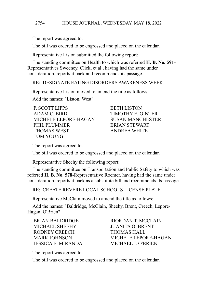The report was agreed to.

The bill was ordered to be engrossed and placed on the calendar.

Representative Liston submitted the following report:

The standing committee on Health to which was referred **H. B. No. 591**- Representatives Sweeney, Click, et al., having had the same under consideration, reports it back and recommends its passage.

RE: DESIGNATE EATING DISORDERS AWARENESS WEEK

Representative Liston moved to amend the title as follows:

Add the names: "Liston, West"

P. SCOTT LIPPS BETH LISTON ADAM C. BIRD TIMOTHY E. GINTER MICHELE LEPORE-HAGAN SUSAN MANCHESTER PHIL PLUMMER BRIAN STEWART THOMAS WEST ANDREA WHITE TOM YOUNG

The report was agreed to.

The bill was ordered to be engrossed and placed on the calendar.

Representative Sheehy the following report:

The standing committee on Transportation and Public Safety to which was referred **H. B. No. 578**-Representative Roemer, having had the same under consideration, reports it back as a substitute bill and recommends its passage.

RE: CREATE REVERE LOCAL SCHOOLS LICENSE PLATE

Representative McClain moved to amend the title as follows:

Add the names: "Baldridge, McClain, Sheehy, Brent, Creech, Lepore-Hagan, O'Brien"

MICHAEL SHEEHY JUANITA O. BRENT RODNEY CREECH THOMAS HALL JESSICA E. MIRANDA MICHAEL J. O'BRIEN

BRIAN BALDRIDGE RIORDAN T. MCCLAIN MARK JOHNSON MICHELE LEPORE-HAGAN

The report was agreed to.

The bill was ordered to be engrossed and placed on the calendar.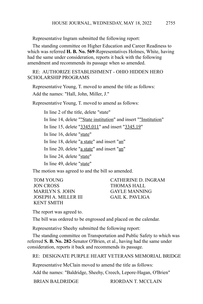Representative Ingram submitted the following report:

The standing committee on Higher Education and Career Readiness to which was referred **H. B. No. 569**-Representatives Holmes, White, having had the same under consideration, reports it back with the following amendment and recommends its passage when so amended.

# RE: AUTHORIZE ESTABLISHMENT - OHIO HIDDEN HERO SCHOLARSHIP PROGRAMS

Representative Young, T. moved to amend the title as follows: Add the names: "Hall, John, Miller, J."

Representative Young, T. moved to amend as follows:

In line 2 of the title, delete "state"

In line 14, delete ""State institution" and insert ""Institution"

In line 15, delete "3345.011" and insert "3345.19"

In line 16, delete "state"

In line 18, delete "a state" and insert "an"

In line 20, delete "a state" and insert "an"

In line 24, delete "state"

In line 49, delete "state"

The motion was agreed to and the bill so amended.

JON CROSS THOMAS HALL MARILYN S. JOHN GAYLE MANNING JOSEPH A. MILLER III GAIL K. PAVLIGA KENT SMITH

TOM YOUNG CATHERINE D. INGRAM

The report was agreed to.

The bill was ordered to be engrossed and placed on the calendar.

Representative Sheehy submitted the following report:

The standing committee on Transportation and Public Safety to which was referred **S. B. No. 282**-Senator O'Brien, et al., having had the same under consideration, reports it back and recommends its passage.

RE: DESIGNATE PURPLE HEART VETERANS MEMORIAL BRIDGE

Representative McClain moved to amend the title as follows:

Add the names: "Baldridge, Sheehy, Creech, Lepore-Hagan, O'Brien"

BRIAN BALDRIDGE RIORDAN T. MCCLAIN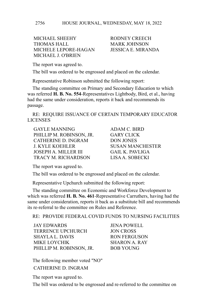MICHAEL SHEEHY RODNEY CREECH THOMAS HALL MARK JOHNSON MICHELE LEPORE-HAGAN JESSICA E. MIRANDA MICHAEL J. O'BRIEN

The report was agreed to.

The bill was ordered to be engrossed and placed on the calendar.

Representative Robinson submitted the following report:

The standing committee on Primary and Secondary Education to which was referred **H. B. No. 554**-Representatives Lightbody, Bird, et al., having had the same under consideration, reports it back and recommends its passage.

RE: REQUIRE ISSUANCE OF CERTAIN TEMPORARY EDUCATOR LICENSES

GAYLE MANNING ADAM C. BIRD PHILLIP M. ROBINSON, JR. GARY CLICK CATHERINE D. INGRAM DON JONES J. KYLE KOEHLER SUSAN MANCHESTER JOSEPH A. MILLER III GAIL K. PAVLIGA TRACY M. RICHARDSON LISA A. SOBECKI

The report was agreed to.

The bill was ordered to be engrossed and placed on the calendar.

Representative Upchurch submitted the following report:

The standing committee on Economic and Workforce Development to which was referred **H. B. No. 461**-Representative Carruthers, having had the same under consideration, reports it back as a substitute bill and recommends its re-referral to the committee on Rules and Reference.

RE: PROVIDE FEDERAL COVID FUNDS TO NURSING FACILITIES

JAY EDWARDS JENA POWELL TERRENCE UPCHURCH JON CROSS SHAYLA L. DAVIS RON FERGUSON MIKE LOYCHIK SHARON A. RAY PHILLIP M. ROBINSON, JR. BOB YOUNG

The following member voted "NO" CATHERINE D. INGRAM

The report was agreed to.

The bill was ordered to be engrossed and re-referred to the committee on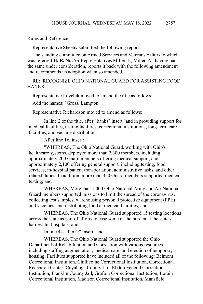Rules and Reference.

Representative Sheehy submitted the following report:

The standing committee on Armed Services and Veterans Affairs to which was referred **H. R. No. 75**-Representatives Miller, J., Miller, A., having had the same under consideration, reports it back with the following amendment and recommends its adoption when so amended.

RE: RECOGNIZE OHIO NATIONAL GUARD FOR ASSISTING FOOD **BANKS** 

Representative Loychik moved to amend the title as follows:

Add the names: "Gross, Lampton"

Representative Richardson moved to amend as follows:

In line 2 of the title, after "banks" insert "and in providing support for medical facilities, testing facilities, correctional institutions, long-term care facilities, and vaccine distribution"

After line 16, insert:

"WHEREAS, The Ohio National Guard, working with Ohio's healthcare systems, deployed more than 2,300 members, including approximately 200 Guard members offering medical support, and approximately 2,100 offering general support, including testing, food services, in-hospital patient transportation, administrative tasks, and other related duties. In addition, more than 350 Guard members supported medical testing; and

WHEREAS, More than 1,000 Ohio National Army and Air National Guard members supported missions to limit the spread of the coronavirus, collecting test samples, warehousing personal protective equipment (PPE) and vaccines, and distributing food at medical facilities; and

WHEREAS, The Ohio National Guard supported 15 testing locations across the state as part of efforts to ease some of the burden at the state's hardest-hit hospitals; and"

In line 44, after ";" insert "and

WHEREAS, The Ohio National Guard supported the Ohio Department of Rehabilitation and Correction with various resources including staffing augmentation, medical care, and erection of temporary housing. Facilities supported have included all of the following: Belmont Correctional Institution, Chillicothe Correctional Institution, Correctional Reception Center, Cuyahoga County Jail, Elkton Federal Corrections Institution, Franklin County Jail, Grafton Correctional Institution, Lorain Correctional Institution, Madison Correctional Institution, Mansfield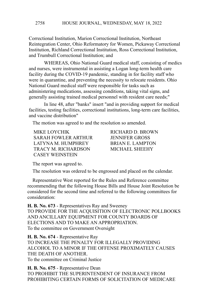Correctional Institution, Marion Correctional Institution, Northeast Reintegration Center, Ohio Reformatory for Women, Pickaway Correctional Institution, Richland Correctional Institution, Ross Correctional Institution, and Trumbull Correctional Institution; and

WHEREAS, Ohio National Guard medical staff, consisting of medics and nurses, were instrumental in assisting a Logan long-term health care facility during the COVID-19 pandemic, standing in for facility staff who were in quarantine, and preventing the necessity to relocate residents. Ohio National Guard medical staff were responsible for tasks such as administering medications, assessing conditions, taking vital signs, and generally assisting trained medical personnel with resident care needs;"

In line 48, after "banks" insert "and in providing support for medical facilities, testing facilities, correctional institutions, long-term care facilities, and vaccine distribution"

The motion was agreed to and the resolution so amended.

MIKE LOYCHIK RICHARD D. BROWN SARAH FOWLER ARTHUR JENNIFER GROSS LATYNA M. HUMPHREY BRIAN E. LAMPTON TRACY M. RICHARDSON MICHAEL SHEEHY CASEY WEINSTEIN

The report was agreed to.

The resolution was ordered to be engrossed and placed on the calendar.

Representative West reported for the Rules and Reference committee recommending that the following House Bills and House Joint Resolution be considered for the second time and referred to the following committees for consideration:

**H. B. No. 673** - Representatives Ray and Sweeney TO PROVIDE FOR THE ACQUISITION OF ELECTRONIC POLLBOOKS AND ANCILLARY EQUIPMENT FOR COUNTY BOARDS OF ELECTIONS AND TO MAKE AN APPROPRIATION. To the committee on Government Oversight

**H. B. No. 674** - Representative Ray TO INCREASE THE PENALTY FOR ILLEGALLY PROVIDING ALCOHOL TO A MINOR IF THE OFFENSE PROXIMATELY CAUSES THE DEATH OF ANOTHER. To the committee on Criminal Justice

**H. B. No. 675** - Representative Dean TO PROHIBIT THE SUPERINTENDENT OF INSURANCE FROM PROHIBITING CERTAIN FORMS OF SOLICITATION OF MEDICARE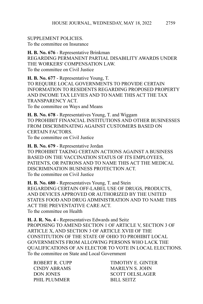SUPPLEMENT POLICIES. To the committee on Insurance

**H. B. No. 676** - Representative Brinkman REGARDING PERMANENT PARTIAL DISABILITY AWARDS UNDER THE WORKERS' COMPENSATION LAW. To the committee on Civil Justice

**H. B. No. 677** - Representative Young, T. TO REQUIRE LOCAL GOVERNMENTS TO PROVIDE CERTAIN INFORMATION TO RESIDENTS REGARDING PROPOSED PROPERTY AND INCOME TAX LEVIES AND TO NAME THIS ACT THE TAX TRANSPARENCY ACT. To the committee on Ways and Means

**H. B. No. 678** - Representatives Young, T. and Wiggam TO PROHIBIT FINANCIAL INSTITUTIONS AND OTHER BUSINESSES FROM DISCRIMINATING AGAINST CUSTOMERS BASED ON CERTAIN FACTORS. To the committee on Civil Justice

**H. B. No. 679** - Representative Jordan TO PROHIBIT TAKING CERTAIN ACTIONS AGAINST A BUSINESS BASED ON THE VACCINATION STATUS OF ITS EMPLOYEES, PATIENTS, OR PATRONS AND TO NAME THIS ACT THE MEDICAL DISCRIMINATION BUSINESS PROTECTION ACT. To the committee on Civil Justice

**H. B. No. 680** - Representatives Young, T. and Stein REGARDING CERTAIN OFF-LABEL USE OF DRUGS, PRODUCTS, AND DEVICES APPROVED OR AUTHORIZED BY THE UNITED STATES FOOD AND DRUG ADMINISTRATION AND TO NAME THIS ACT THE PREVENTATIVE CARE ACT. To the committee on Health

**H. J. R. No. 4** - Representatives Edwards and Seitz PROPOSING TO AMEND SECTION 1 OF ARTICLE V, SECTION 3 OF ARTICLE X, AND SECTION 3 OF ARTICLE XVIII OF THE CONSTITUTION OF THE STATE OF OHIO TO PROHIBIT LOCAL GOVERNMENTS FROM ALLOWING PERSONS WHO LACK THE QUALIFICATIONS OF AN ELECTOR TO VOTE IN LOCAL ELECTIONS. To the committee on State and Local Government

PHIL PLUMMER BILL SEITZ

ROBERT R. CUPP TIMOTHY E. GINTER CINDY ABRAMS MARILYN S. JOHN DON JONES SCOTT OELSLAGER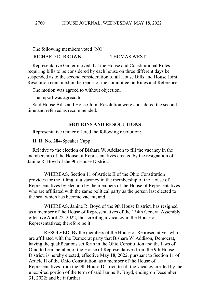The following members voted "NO" RICHARD D. BROWN THOMAS WEST

Representative Ginter moved that the House and Constitutional Rules requiring bills to be considered by each house on three different days be suspended as to the second consideration of all House Bills and House Joint Resolution contained in the report of the committee on Rules and Reference.

The motion was agreed to without objection.

The report was agreed to.

Said House Bills and House Joint Resolution were considered the second time and referred as recommended.

## **MOTIONS AND RESOLUTIONS**

Representative Ginter offered the following resolution:

**H. R. No. 284-**Speaker Cupp

Relative to the election of Bishara W. Addison to fill the vacancy in the membership of the House of Representatives created by the resignation of Janine R. Boyd of the 9th House District.

WHEREAS, Section 11 of Article II of the Ohio Constitution provides for the filling of a vacancy in the membership of the House of Representatives by election by the members of the House of Representatives who are affiliated with the same political party as the person last elected to the seat which has become vacant; and

WHEREAS, Janine R. Boyd of the 9th House District, has resigned as a member of the House of Representatives of the 134th General Assembly effective April 22, 2022, thus creating a vacancy in the House of Representatives; therefore be it

RESOLVED, By the members of the House of Representatives who are affiliated with the Democrat party that Bishara W. Addison, Democrat, having the qualifications set forth in the Ohio Constitution and the laws of Ohio to be a member of the House of Representatives from the 9th House District, is hereby elected, effective May 18, 2022, pursuant to Section 11 of Article II of the Ohio Constitution, as a member of the House of Representatives from the 9th House District, to fill the vacancy created by the unexpired portion of the term of said Janine R. Boyd, ending on December 31, 2022; and be it further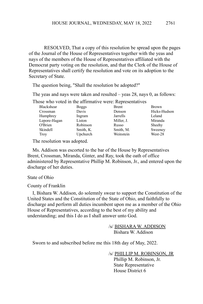RESOLVED, That a copy of this resolution be spread upon the pages of the Journal of the House of Representatives together with the yeas and nays of the members of the House of Representatives affiliated with the Democrat party voting on the resolution, and that the Clerk of the House of Representatives shall certify the resolution and vote on its adoption to the Secretary of State.

The question being, "Shall the resolution be adopted?"

The yeas and nays were taken and resulted – yeas 28, nays 0, as follows:

Those who voted in the affirmative were: Representatives

| Blackshear   | <b>Boggs</b> | <b>Brent</b> | <b>Brown</b> |
|--------------|--------------|--------------|--------------|
| Crossman     | Davis        | Denson       | Hicks-Hudson |
| Humphrev     | Ingram       | Jarrells     | Leland       |
| Lepore-Hagan | Liston       | Miller, J.   | Miranda      |
| O'Brien      | Robinson     | Russo        | Sheehy       |
| Skindell     | Smith, K.    | Smith, M.    | Sweeney      |
| Troy         | Upchurch     | Weinstein    | West-28      |
|              |              |              |              |

The resolution was adopted.

Ms. Addison was escorted to the bar of the House by Representatives Brent, Crossman, Miranda, Ginter, and Ray, took the oath of office administered by Representative Phillip M. Robinson, Jr., and entered upon the discharge of her duties.

#### State of Ohio

County of Franklin

I, Bishara W. Addison, do solemnly swear to support the Constitution of the United States and the Constitution of the State of Ohio, and faithfully to discharge and perform all duties incumbent upon me as a member of the Ohio House of Representatives, according to the best of my ability and understanding; and this I do as I shall answer unto God.

> /s/ BISHARA W. ADDISON Bishara W. Addison

Sworn to and subscribed before me this 18th day of May, 2022.

/s/ PHILLIP M. ROBINSON, JR Phillip M. Robinson, Jr. State Representative House District 6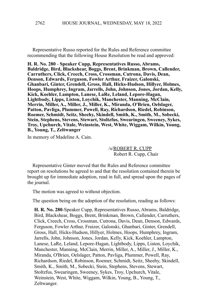Representative Russo reported for the Rules and Reference committee recommending that the following House Resolution be read and approved:

**H. R. No. 280** - **Speaker Cupp, Representatives Russo, Abrams, Baldridge, Bird, Blackshear, Boggs, Brent, Brinkman, Brown, Callender, Carruthers, Click, Creech, Cross, Crossman, Cutrona, Davis, Dean, Denson, Edwards, Ferguson, Fowler Arthur, Fraizer, Galonski, Ghanbari, Ginter, Grendell, Gross, Hall, Hicks-Hudson, Hillyer, Holmes, Hoops, Humphrey, Ingram, Jarrells, John, Johnson, Jones, Jordan, Kelly, Kick, Koehler, Lampton, Lanese, LaRe, Leland, Lepore-Hagan, Lightbody, Lipps, Liston, Loychik, Manchester, Manning, McClain, Merrin, Miller, A., Miller, J., Miller, K., Miranda, O'Brien, Oelslager, Patton, Pavliga, Plummer, Powell, Ray, Richardson, Riedel, Robinson, Roemer, Schmidt, Seitz, Sheehy, Skindell, Smith, K., Smith, M., Sobecki, Stein, Stephens, Stevens, Stewart, Stoltzfus, Swearingen, Sweeney, Sykes, Troy, Upchurch, Vitale, Weinstein, West, White, Wiggam, Wilkin, Young, B., Young, T., Zeltwanger**

In memory of Madeline A. Cain.

/s/ROBERT R. CUPP Robert R. Cupp, Chair

Representative Ginter moved that the Rules and Reference committee report on resolutions be agreed to and that the resolution contained therein be brought up for immediate adoption, read in full, and spread upon the pages of the journal.

The motion was agreed to without objection.

The question being on the adoption of the resolution, reading as follows:

**H. R. No. 280**-Speaker Cupp, Representatives Russo, Abrams, Baldridge, Bird, Blackshear, Boggs, Brent, Brinkman, Brown, Callender, Carruthers, Click, Creech, Cross, Crossman, Cutrona, Davis, Dean, Denson, Edwards, Ferguson, Fowler Arthur, Fraizer, Galonski, Ghanbari, Ginter, Grendell, Gross, Hall, Hicks-Hudson, Hillyer, Holmes, Hoops, Humphrey, Ingram, Jarrells, John, Johnson, Jones, Jordan, Kelly, Kick, Koehler, Lampton, Lanese, LaRe, Leland, Lepore-Hagan, Lightbody, Lipps, Liston, Loychik, Manchester, Manning, McClain, Merrin, Miller, A., Miller, J., Miller, K., Miranda, O'Brien, Oelslager, Patton, Pavliga, Plummer, Powell, Ray, Richardson, Riedel, Robinson, Roemer, Schmidt, Seitz, Sheehy, Skindell, Smith, K., Smith, M., Sobecki, Stein, Stephens, Stevens, Stewart, Stoltzfus, Swearingen, Sweeney, Sykes, Troy, Upchurch, Vitale, Weinstein, West, White, Wiggam, Wilkin, Young, B., Young, T., Zeltwanger.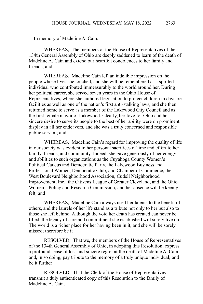In memory of Madeline A. Cain.

WHEREAS, The members of the House of Representatives of the 134th General Assembly of Ohio are deeply saddened to learn of the death of Madeline A. Cain and extend our heartfelt condolences to her family and friends; and

WHEREAS, Madeline Cain left an indelible impression on the people whose lives she touched, and she will be remembered as a spirited individual who contributed immeasurably to the world around her. During her political career, she served seven years in the Ohio House of Representatives, where she authored legislation to protect children in daycare facilities as well as one of the nation's first anti-stalking laws, and she then returned home to serve as a member of the Lakewood City Council and as the first female mayor of Lakewood. Clearly, her love for Ohio and her sincere desire to serve its people to the best of her ability were on prominent display in all her endeavors, and she was a truly concerned and responsible public servant; and

WHEREAS, Madeline Cain's regard for improving the quality of life in our society was evident in her personal sacrifices of time and effort to her family, friends, and community. Indeed, she gave generously of her energy and abilities to such organizations as the Cuyahoga County Women's Political Caucus and Democratic Party, the Lakewood Business and Professional Women, Democratic Club, and Chamber of Commerce, the West Boulevard Neighborhood Association, Cudell Neighborhood Improvement, Inc., the Citizens League of Greater Cleveland, and the Ohio Women's Policy and Research Commission, and her absence will be keenly felt; and

WHEREAS, Madeline Cain always used her talents to the benefit of others, and the laurels of her life stand as a tribute not only to her but also to those she left behind. Although the void her death has created can never be filled, the legacy of care and commitment she established will surely live on. The world is a richer place for her having been in it, and she will be sorely missed; therefore be it

RESOLVED, That we, the members of the House of Representatives of the 134th General Assembly of Ohio, in adopting this Resolution, express a profound sense of loss and sincere regret at the death of Madeline A. Cain and, in so doing, pay tribute to the memory of a truly unique individual; and be it further

RESOLVED, That the Clerk of the House of Representatives transmit a duly authenticated copy of this Resolution to the family of Madeline A. Cain.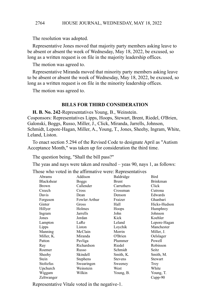The resolution was adopted.

Representative Jones moved that majority party members asking leave to be absent or absent the week of Wednesday, May 18, 2022, be excused, so long as a written request is on file in the majority leadership offices.

The motion was agreed to.

Representative Miranda moved that minority party members asking leave to be absent or absent the week of Wednesday, May 18, 2022, be excused, so long as a written request is on file in the minority leadership offices.

The motion was agreed to.

### **BILLS FOR THIRD CONSIDERATION**

**H. B. No. 242**-Representatives Young, B., Weinstein. Cosponsors: Representatives Lipps, Hoops, Stewart, Brent, Riedel, O'Brien, Galonski, Boggs, Russo, Miller, J., Click, Miranda, Jarrells, Johnson, Schmidt, Lepore-Hagan, Miller, A., Young, T., Jones, Sheehy, Ingram, White, Leland, Liston.

To enact section 5.294 of the Revised Code to designate April as "Autism Acceptance Month," was taken up for consideration the third time.

The question being, "Shall the bill pass?"

The yeas and nays were taken and resulted – yeas 90, nays 1, as follows:

Those who voted in the affirmative were: Representatives

| Abrams            | Addison       | Baldridge      | Bird            |
|-------------------|---------------|----------------|-----------------|
| <b>Blackshear</b> | <b>Boggs</b>  | <b>Brent</b>   | <b>Brinkman</b> |
| <b>Brown</b>      | Callender     | Carruthers     | Click           |
| Creech            | Cross         | Crossman       | Cutrona         |
| Davis             | Dean          | Denson         | Edwards         |
| Ferguson          | Fowler Arthur | Fraizer        | Ghanbari        |
| Ginter            | Gross         | Hall           | Hicks-Hudson    |
| Hillyer           | Holmes        | Hoops          | Humphrey        |
| Ingram            | Jarrells      | John           | Johnson         |
| Jones             | Jordan        | Kick           | Koehler         |
| Lampton           | LaRe          | Leland         | Lepore-Hagan    |
| Lipps             | Liston        | Loychik        | Manchester      |
| Manning           | McClain       | Merrin         | Miller, J.      |
| Miller, K.        | Miranda       | O'Brien        | Oelslager       |
| Patton            | Pavliga       | Plummer        | Powell          |
| Ray               | Richardson    | Riedel         | Robinson        |
| Roemer            | Russo         | Schmidt        | Seitz           |
| Sheehy            | Skindell      | Smith, K.      | Smith, M.       |
| Stein             | Stephens      | <b>Stevens</b> | <b>Stewart</b>  |
| Stoltzfus         | Swearingen    | Sweeney        | Troy            |
| Upchurch          | Weinstein     | West           | White           |
| Wiggam            | Wilkin        | Young, B.      | Young, T.       |
| Zeltwanger        |               |                | $Cupp-90$       |
|                   |               |                |                 |

Representative Vitale voted in the negative-1.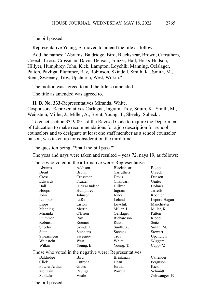The bill passed.

Representative Young, B. moved to amend the title as follows:

Add the names: "Abrams, Baldridge, Bird, Blackshear, Brown, Carruthers, Creech, Cross, Crossman, Davis, Denson, Fraizer, Hall, Hicks-Hudson, Hillyer, Humphrey, John, Kick, Lampton, Loychik, Manning, Oelslager, Patton, Pavliga, Plummer, Ray, Robinson, Skindell, Smith, K., Smith, M., Stein, Sweeney, Troy, Upchurch, West, Wilkin."

The motion was agreed to and the title so amended.

The title as amended was agreed to.

**H. B. No. 333**-Representatives Miranda, White.

Cosponsors: Representatives Carfagna, Ingram, Troy, Smith, K., Smith, M., Weinstein, Miller, J., Miller, A., Brent, Young, T., Sheehy, Sobecki.

To enact section 3319.091 of the Revised Code to require the Department of Education to make recommendations for a job description for school counselors and to designate at least one staff member as a school counselor liaison, was taken up for consideration the third time.

The question being, "Shall the bill pass?"

The yeas and nays were taken and resulted – yeas 72, nays 19, as follows:

Those who voted in the affirmative were: Representatives

|                                                       |                 | volva in the annihate were, respresentanves |                |
|-------------------------------------------------------|-----------------|---------------------------------------------|----------------|
| Abrams                                                | Addison         | <b>Blackshear</b>                           | <b>Boggs</b>   |
| <b>Brent</b>                                          | <b>Brown</b>    | Carruthers                                  | Creech         |
| Cross                                                 | Crossman        | Davis                                       | Denson         |
| Edwards                                               | Fraizer         | Ghanbari                                    | Ginter         |
| Hall                                                  | Hicks-Hudson    | Hillyer                                     | Holmes         |
| Hoops                                                 | Humphrey        | Ingram                                      | Jarrells       |
| John                                                  | Johnson         | Jones                                       | Koehler        |
| Lampton                                               | LaRe            | Leland                                      | Lepore-Hagan   |
| Lipps                                                 | Liston          | Loychik                                     | Manchester     |
| Manning                                               | Merrin          | Miller, J.                                  | Miller, K.     |
| Miranda                                               | O'Brien         | Oelslager                                   | Patton         |
| Plummer                                               | Ray             | Richardson                                  | Riedel         |
| Robinson                                              | Roemer          | Russo                                       | Seitz          |
| Sheehy                                                | Skindell        | Smith, K.                                   | Smith, M.      |
| Stein                                                 | <b>Stephens</b> | <b>Stevens</b>                              | <b>Stewart</b> |
| Swearingen                                            | Sweeney         | Troy                                        | Upchurch       |
| Weinstein                                             | West            | White                                       | Wiggam         |
| Wilkin                                                | Young, B.       | Young, T.                                   | $Cupp-72$      |
| Those who voted in the negative were: Representatives |                 |                                             |                |
| Baldridge                                             | Bird            | <b>Brinkman</b>                             | Callender      |
| Click                                                 | Cutrona         | Dean                                        | Ferguson       |
| Fowler Arthur                                         | Gross           | Jordan                                      | Kick           |
| McClain                                               | Pavliga         | Powell                                      | Schmidt        |
| Stoltzfus                                             | Vitale          |                                             | Zeltwanger-19  |
| $Tha$ bill nossad                                     |                 |                                             |                |

The bill passed.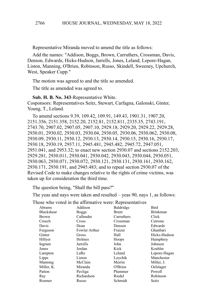Representative Miranda moved to amend the title as follows:

Add the names: "Addison, Boggs, Brown, Carruthers, Crossman, Davis, Denson, Edwards, Hicks-Hudson, Jarrells, Jones, Leland, Lepore-Hagan, Liston, Manning, O'Brien, Robinson, Russo, Skindell, Sweeney, Upchurch, West, Speaker Cupp."

The motion was agreed to and the title so amended.

The title as amended was agreed to.

**Sub. H. B. No. 343**-Representative White.

Cosponsors: Representatives Seitz, Stewart, Carfagna, Galonski, Ginter, Young, T., Leland.

To amend sections 9.39, 109.42, 109.91, 149.43, 1901.31, 1907.20, 2151.356, 2151.358, 2152.20, 2152.81, 2152.811, 2335.35, 2743.191, 2743.70, 2907.02, 2907.05, 2907.10, 2929.18, 2929.20, 2929.22, 2929.28, 2930.01, 2930.02, 2930.03, 2930.04, 2930.05, 2930.06, 2930.062, 2930.08, 2930.09, 2930.11, 2930.12, 2930.13, 2930.14, 2930.15, 2930.16, 2930.17, 2930.18, 2930.19, 2937.11, 2945.481, 2945.482, 2945.72, 2947.051, 2951.041, and 2953.32; to enact new section 2930.07 and sections 2152.203, 2929.281, 2930.011, 2930.041, 2930.042, 2930.043, 2930.044, 2930.051, 2930.063, 2930.071, 2930.072, 2930.121, 2930.131, 2930.161, 2930.162, 2930.171, 2930.191, and 2945.483; and to repeal section 2930.07 of the Revised Code to make changes relative to the rights of crime victims, was taken up for consideration the third time.

The question being, "Shall the bill pass?"

The yeas and nays were taken and resulted – yeas 90, nays 1, as follows:

|              |               | lose who voted in the affirmative were. Representatives |                 |
|--------------|---------------|---------------------------------------------------------|-----------------|
| Abrams       | Addison       | Baldridge                                               | Bird            |
| Blackshear   | <b>Boggs</b>  | Brent                                                   | <b>Brinkman</b> |
| <b>Brown</b> | Callender     | Carruthers                                              | Click           |
| Creech       | Cross         | Crossman                                                | Cutrona         |
| Davis        | Dean          | Denson                                                  | Edwards         |
| Ferguson     | Fowler Arthur | Fraizer                                                 | Ghanbari        |
| Ginter       | Gross         | Hall                                                    | Hicks-Hudson    |
| Hillyer      | Holmes        | Hoops                                                   | Humphrey        |
| Ingram       | Jarrells      | John                                                    | Johnson         |
| Jones        | Jordan        | Kick                                                    | Koehler         |
| Lampton      | LaRe          | Leland                                                  | Lepore-Hagan    |
| Lipps        | Liston        | Loychik                                                 | Manchester      |
| Manning      | McClain       | Merrin                                                  | Miller, J.      |
| Miller, K.   | Miranda       | O'Brien                                                 | Oelslager       |
| Patton       | Pavliga       | Plummer                                                 | Powell          |
| Ray          | Richardson    | Riedel                                                  | Robinson        |
| Roemer       | Russo         | Schmidt                                                 | Seitz           |
|              |               |                                                         |                 |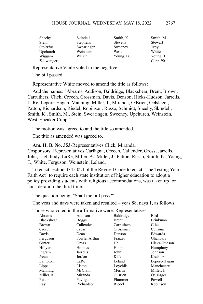| Sheehy           | Skindell        | Smith, K.      | Smith, M.   |
|------------------|-----------------|----------------|-------------|
| Stein            | <b>Stephens</b> | <b>Stevens</b> | Stewart     |
| <b>Stoltzfus</b> | Swearingen      | Sweeney        | <b>Troy</b> |
| Upchurch         | Weinstein       | West           | White       |
| Wiggam           | Wilkin          | Young, B.      | Young, T.   |
| Zeltwanger       |                 |                | $Cupp-90$   |

Representative Vitale voted in the negative-1.

The bill passed.

Representative White moved to amend the title as follows:

Add the names: "Abrams, Addison, Baldridge, Blackshear, Brent, Brown, Carruthers, Click, Creech, Crossman, Davis, Denson, Hicks-Hudson, Jarrells, LaRe, Lepore-Hagan, Manning, Miller, J., Miranda, O'Brien, Oelslager, Patton, Richardson, Riedel, Robinson, Russo, Schmidt, Sheehy, Skindell, Smith, K., Smith, M., Stein, Swearingen, Sweeney, Upchurch, Weinstein, West, Speaker Cupp."

The motion was agreed to and the title so amended.

The title as amended was agreed to.

**Am. H. B. No. 353**-Representatives Click, Miranda.

Cosponsors: Representatives Carfagna, Creech, Callender, Gross, Jarrells, John, Lightbody, LaRe, Miller, A., Miller, J., Patton, Russo, Smith, K., Young, T., White, Ferguson, Weinstein, Leland.

To enact section 3345.024 of the Revised Code to enact "The Testing Your Faith Act" to require each state institution of higher education to adopt a policy providing students with religious accommodations, was taken up for consideration the third time.

The question being, "Shall the bill pass?"

The yeas and nays were taken and resulted – yeas 88, nays 1, as follows:

|              | $\ddotsc$ of $\ddotsc$ and $\ddotsc$ $\ddotsc$ $\ddotsc$ $\ddotsc$ $\ddotsc$ $\ddotsc$ $\ddotsc$ $\ddotsc$ |              |                 |
|--------------|------------------------------------------------------------------------------------------------------------|--------------|-----------------|
| Abrams       | Addison                                                                                                    | Baldridge    | Bird            |
| Blackshear   | <b>Boggs</b>                                                                                               | <b>Brent</b> | <b>Brinkman</b> |
| <b>Brown</b> | Callender                                                                                                  | Carruthers   | Click           |
| Creech       | Cross                                                                                                      | Crossman     | Cutrona         |
| Davis        | Dean                                                                                                       | Denson       | Edwards         |
| Ferguson     | Fowler Arthur                                                                                              | Fraizer      | Ghanbari        |
| Ginter       | Gross                                                                                                      | Hall         | Hicks-Hudson    |
| Hillyer      | Holmes                                                                                                     | Hoops        | Humphrey        |
| Ingram       | Jarrells                                                                                                   | John         | Johnson         |
| Jones        | Jordan                                                                                                     | Kick         | Koehler         |
| Lampton      | LaRe                                                                                                       | Leland       | Lepore-Hagan    |
| Lipps        | Liston                                                                                                     | Loychik      | Manchester      |
| Manning      | McClain                                                                                                    | Merrin       | Miller, J.      |
| Miller, K.   | Miranda                                                                                                    | O'Brien      | Oelslager       |
| Patton       | Pavliga                                                                                                    | Plummer      | Powell          |
| Ray          | Richardson                                                                                                 | Riedel       | Robinson        |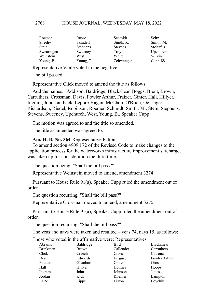| Roemer     | Russo           | Schmidt        | Seitz     |
|------------|-----------------|----------------|-----------|
| Sheehy     | Skindell        | Smith, K.      | Smith, M. |
| Stein      | <b>Stephens</b> | <b>Stevens</b> | Stoltzfus |
| Swearingen | Sweeney         | <b>Troy</b>    | Upchurch  |
| Weinstein  | West            | White          | Wilkin    |
| Young, B.  | Young, T.       | Zeltwanger     | $Cupp-88$ |

Representative Vitale voted in the negative-1.

The bill passed.

Representative Click moved to amend the title as follows:

Add the names: "Addison, Baldridge, Blackshear, Boggs, Brent, Brown, Carruthers, Crossman, Davis, Fowler Arthur, Fraizer, Ginter, Hall, Hillyer, Ingram, Johnson, Kick, Lepore-Hagan, McClain, O'Brien, Oelslager, Richardson, Riedel, Robinson, Roemer, Schmidt, Smith, M., Stein, Stephens, Stevens, Sweeney, Upchurch, West, Young, B., Speaker Cupp."

The motion was agreed to and the title so amended.

The title as amended was agreed to.

**Am. H. B. No. 364**-Representative Patton.

To amend section 4909.172 of the Revised Code to make changes to the application process for the waterworks infrastructure improvement surcharge, was taken up for consideration the third time.

The question being, "Shall the bill pass?"

Representative Weinstein moved to amend, amendment 3274.

Pursuant to House Rule 91(a), Speaker Cupp ruled the amendment out of order.

The question recurring, "Shall the bill pass?"

Representative Crossman moved to amend, amendment 3275.

Pursuant to House Rule 91(a), Speaker Cupp ruled the amendment out of order.

The question recurring, "Shall the bill pass?"

The yeas and nays were taken and resulted – yeas 74, nays 15, as follows:

| Abrams          | Baldridge    | Bird      | Blackshear    |
|-----------------|--------------|-----------|---------------|
| <b>Brinkman</b> | <b>Brown</b> | Callender | Carruthers    |
| Click           | Creech       | Cross     | Cutrona       |
| Dean            | Edwards      | Ferguson  | Fowler Arthur |
| Fraizer         | Ghanbari     | Ginter    | Gross         |
| Hall            | Hillyer      | Holmes    | Hoops         |
| Ingram          | John         | Johnson   | Jones         |
| Jordan          | Kick         | Koehler   | Lampton       |
| LaRe            | Lipps        | Liston    | Loychik       |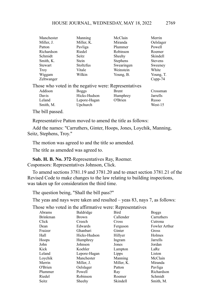| Manchester                                            | Manning      | McClain         | Merrin          |  |
|-------------------------------------------------------|--------------|-----------------|-----------------|--|
| Miller, J.                                            | Miller, K.   | Miranda         | Oelslager       |  |
| Patton                                                | Pavliga      | Plummer         | Powell          |  |
| Richardson                                            | Riedel       | Robinson        | Roemer          |  |
| Schmidt                                               | Seitz        | Sheehy          | <b>Skindell</b> |  |
| Smith, K.                                             | Stein        | <b>Stephens</b> | <b>Stevens</b>  |  |
| <b>Stewart</b>                                        | Stoltzfus    | Swearingen      | Sweeney         |  |
| <b>Troy</b>                                           | Vitale       | Weinstein       | White           |  |
| Wiggam                                                | Wilkin       | Young, B.       | Young, T.       |  |
| Zeltwanger                                            |              |                 | $Cupp-74$       |  |
| Those who voted in the negative were: Representatives |              |                 |                 |  |
| Addison                                               | <b>Boggs</b> | <b>Brent</b>    | Crossman        |  |
| Davis                                                 | Hicks-Hudson | Humphrey        | Jarrells        |  |
| Leland                                                | Lepore-Hagan | O'Brien         | Russo           |  |
| Smith, M.                                             | Upchurch     |                 | West-15         |  |
|                                                       |              |                 |                 |  |

The bill passed.

Representative Patton moved to amend the title as follows:

Add the names: "Carruthers, Ginter, Hoops, Jones, Loychik, Manning, Seitz, Stephens, Troy."

The motion was agreed to and the title so amended.

The title as amended was agreed to.

**Sub. H. B. No. 372**-Representatives Ray, Roemer. Cosponsors: Representatives Johnson, Click.

To amend sections 3781.19 and 3781.20 and to enact section 3781.21 of the Revised Code to make changes to the law relating to building inspections, was taken up for consideration the third time.

The question being, "Shall the bill pass?"

The yeas and nays were taken and resulted – yeas 83, nays 7, as follows:

| Abrams          | Baldridge    | Bird         | <b>Boggs</b>  |
|-----------------|--------------|--------------|---------------|
| <b>Brinkman</b> | <b>Brown</b> | Callender    | Carruthers    |
| Click           | Creech       | <b>Cross</b> | Cutrona       |
| Dean            | Edwards      | Ferguson     | Fowler Arthur |
| Fraizer         | Ghanbari     | Ginter       | Gross         |
| Hall            | Hicks-Hudson | Hillyer      | Holmes        |
| Hoops           | Humphrey     | Ingram       | Jarrells      |
| John            | Johnson      | Jones        | Jordan        |
| Kick            | Koehler      | Lampton      | LaRe          |
| Leland          | Lepore-Hagan | Lipps        | Liston        |
| Loychik         | Manchester   | Manning      | McClain       |
| Merrin          | Miller, J.   | Miller, K.   | Miranda       |
| O'Brien         | Oelslager    | Patton       | Pavliga       |
| Plummer         | Powell       | Ray          | Richardson    |
| Riedel          | Robinson     | Roemer       | Schmidt       |
| Seitz           | Sheehy       | Skindell     | Smith, M.     |
|                 |              |              |               |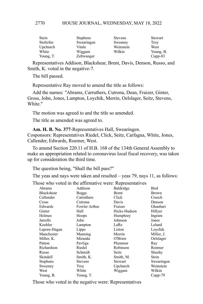| Stein            | <b>Stephens</b> | <b>Stevens</b> | Stewart     |
|------------------|-----------------|----------------|-------------|
| <b>Stoltzfus</b> | Swearingen      | Sweeney        | <b>Troy</b> |
| Upchurch         | Vitale          | Weinstein      | West        |
| White            | Wiggam          | Wilkin         | Young, B.   |
| Young, T.        | Zeltwanger      |                | $Cupp-83$   |

Representatives Addison, Blackshear, Brent, Davis, Denson, Russo, and Smith, K. voted in the negative-7.

The bill passed.

Representative Ray moved to amend the title as follows:

Add the names: "Abrams, Carruthers, Cutrona, Dean, Fraizer, Ginter, Gross, John, Jones, Lampton, Loychik, Merrin, Oelslager, Seitz, Stevens, White."

The motion was agreed to and the title so amended.

The title as amended was agreed to.

**Am. H. B. No. 377**-Representatives Hall, Swearingen. Cosponsors: Representatives Riedel, Click, Seitz, Carfagna, White, Jones, Callender, Edwards, Roemer, West.

To amend Section 220.11 of H.B. 168 of the 134th General Assembly to make an appropriation related to coronavirus local fiscal recovery, was taken up for consideration the third time.

The question being, "Shall the bill pass?"

The yeas and nays were taken and resulted – yeas 79, nays 11, as follows:

Those who voted in the affirmative were: Representatives

| Abrams          | Addison        | Baldridge    | Bird         |
|-----------------|----------------|--------------|--------------|
| Blackshear      | <b>Boggs</b>   | Brent        | <b>Brown</b> |
| Callender       | Carruthers     | Click        | Creech       |
| Cross           | Cutrona        | Davis        | Denson       |
| Edwards         | Fowler Arthur  | Fraizer      | Ghanbari     |
| Ginter          | Hall           | Hicks-Hudson | Hillyer      |
| Holmes          | Hoops          | Humphrey     | Ingram       |
| Jarrells        | John           | Johnson      | Jones        |
| Koehler         | Lampton        | LaRe         | Leland       |
| Lepore-Hagan    | Lipps          | Liston       | Loychik      |
| Manchester      | Manning        | Merrin       | Miller, J.   |
| Miller, K.      | Miranda        | O'Brien      | Oelslager    |
| Patton          | Pavliga        | Plummer      | Ray          |
| Richardson      | Riedel         | Robinson     | Roemer       |
| Russo           | Schmidt        | Seitz        | Sheehy       |
| Skindell        | Smith, K.      | Smith, M.    | Stein        |
| <b>Stephens</b> | <b>Stevens</b> | Stewart      | Swearingen   |
| Sweeney         | Troy           | Upchurch     | Weinstein    |
| West            | White          | Wiggam       | Wilkin       |
| Young, B.       | Young, T.      |              | Cupp-79      |
|                 |                |              |              |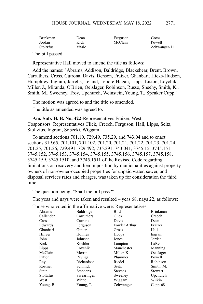| <b>Brinkman</b>  | Dean   | Ferguson | Gross         |
|------------------|--------|----------|---------------|
| Jordan           | Kick   | McClain  | Powell        |
| <b>Stoltzfus</b> | Vitale |          | Zeltwanger-11 |
| PL 1.11 1        |        |          |               |

The bill passed.

Representative Hall moved to amend the title as follows:

Add the names: "Abrams, Addison, Baldridge, Blackshear, Brent, Brown, Carruthers, Cross, Cutrona, Davis, Denson, Fraizer, Ghanbari, Hicks-Hudson, Humphrey, Ingram, Jarrells, Leland, Lepore-Hagan, Lipps, Liston, Loychik, Miller, J., Miranda, O'Brien, Oelslager, Robinson, Russo, Sheehy, Smith, K., Smith, M., Sweeney, Troy, Upchurch, Weinstein, Young, T., Speaker Cupp."

The motion was agreed to and the title so amended.

The title as amended was agreed to.

**Am. Sub. H. B. No. 422**-Representatives Fraizer, West. Cosponsors: Representatives Click, Creech, Ferguson, Hall, Lipps, Seitz, Stoltzfus, Ingram, Sobecki, Wiggam.

To amend sections 701.10, 729.49, 735.29, and 743.04 and to enact sections 319.65, 701.101, 701.102, 701.20, 701.21, 701.22, 701.23, 701.24, 701.25, 701.26, 729.491, 729.492, 735.291, 743.041, 3745.15, 3745.151, 3745.152, 3745.153, 3745.154, 3745.155, 3745.156, 3745.157, 3745.158, 3745.159, 3745.1510, and 3745.1511 of the Revised Code regarding limitations on recovery and lien imposition by municipalities against property owners of non-owner-occupied properties for unpaid water, sewer, and disposal services rates and charges, was taken up for consideration the third time.

The question being, "Shall the bill pass?"

The yeas and nays were taken and resulted – yeas 68, nays 22, as follows:

|           | $\ddotsc$ of $\ddotsc$ and $\ddotsc$ $\ddotsc$ and $\ddotsc$ $\ddotsc$ $\ddotsc$ $\ddotsc$ $\ddotsc$ $\ddotsc$ |                |                 |
|-----------|----------------------------------------------------------------------------------------------------------------|----------------|-----------------|
| Abrams    | Baldridge                                                                                                      | Bird           | <b>Brinkman</b> |
| Callender | Carruthers                                                                                                     | Click          | Creech          |
| Cross     | Cutrona                                                                                                        | Davis          | Dean            |
| Edwards   | Ferguson                                                                                                       | Fowler Arthur  | Fraizer         |
| Ghanbari  | Ginter                                                                                                         | Gross          | Hall            |
| Hillyer   | Holmes                                                                                                         | Hoops          | Ingram          |
| John      | Johnson                                                                                                        | Jones          | Jordan          |
| Kick      | Koehler                                                                                                        | Lampton        | LaRe            |
| Lipps     | Loychik                                                                                                        | Manchester     | Manning         |
| McClain   | Merrin                                                                                                         | Miller, K.     | Oelslager       |
| Patton    | Pavliga                                                                                                        | Plummer        | Powell          |
| Ray       | Richardson                                                                                                     | Riedel         | Robinson        |
| Roemer    | Schmidt                                                                                                        | Seitz          | Smith, M.       |
| Stein     | <b>Stephens</b>                                                                                                | <b>Stevens</b> | <b>Stewart</b>  |
| Stoltzfus | Swearingen                                                                                                     | Sweeney        | Upchurch        |
| West      | White                                                                                                          | Wiggam         | Wilkin          |
| Young, B. | Young, T.                                                                                                      | Zeltwanger     | $Cupp-68$       |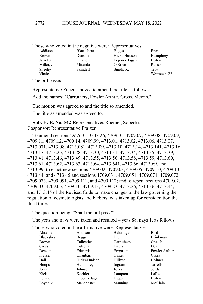|  |  |  |  | Those who voted in the negative were: Representatives |
|--|--|--|--|-------------------------------------------------------|
|--|--|--|--|-------------------------------------------------------|

| Blackshear | <b>Boggs</b> | <b>Brent</b> |
|------------|--------------|--------------|
| Denson     | Hicks-Hudson | Humphrey     |
| Leland     | Lepore-Hagan | Liston       |
| Miranda    | O'Brien      | Russo        |
| Skindell   | Smith, K.    | Trov         |
|            |              | Weinstein-22 |
|            |              |              |

The bill passed.

Representative Fraizer moved to amend the title as follows:

Add the names: "Carruthers, Fowler Arthur, Gross, Merrin."

The motion was agreed to and the title so amended.

The title as amended was agreed to.

**Sub. H. B. No. 542**-Representatives Roemer, Sobecki. Cosponsor: Representative Fraizer.

To amend sections 2925.01, 3333.26, 4709.01, 4709.07, 4709.08, 4709.09, 4709.11, 4709.12, 4709.14, 4709.99, 4713.01, 4713.02, 4713.06, 4713.07, 4713.071, 4713.08, 4713.081, 4713.09, 4713.10, 4713.14, 4713.141, 4713.16, 4713.17, 4713.25, 4713.28, 4713.30, 4713.31, 4713.34, 4713.35, 4713.39, 4713.41, 4713.46, 4713.49, 4713.55, 4713.56, 4713.58, 4713.59, 4713.60, 4713.61, 4713.62, 4713.63, 4713.64, 4713.641, 4713.66, 4713.69, and 4713.99; to enact new sections 4709.02, 4709.03, 4709.05, 4709.10, 4709.13, 4713.44, and 4713.45 and sections 4709.031, 4709.051, 4709.071, 4709.072, 4709.073, 4709.091, 4709.111, and 4709.112; and to repeal sections 4709.02, 4709.03, 4709.05, 4709.10, 4709.13, 4709.23, 4713.26, 4713.36, 4713.44, and 4713.45 of the Revised Code to make changes to the law governing the regulation of cosmetologists and barbers, was taken up for consideration the third time.

The question being, "Shall the bill pass?"

The yeas and nays were taken and resulted – yeas 88, nays 1, as follows:

| Abrams       | Addison      | Baldridge  | Bird            |
|--------------|--------------|------------|-----------------|
| Blackshear   | <b>Boggs</b> | Brent      | <b>Brinkman</b> |
| <b>Brown</b> | Callender    | Carruthers | Creech          |
| Cross        | Cutrona      | Davis      | Dean            |
| Denson       | Edwards      | Ferguson   | Fowler Arthur   |
| Fraizer      | Ghanbari     | Ginter     | Gross           |
| Hall         | Hicks-Hudson | Hillyer    | Holmes          |
| Hoops        | Humphrey     | Ingram     | Jarrells        |
| John         | Johnson      | Jones      | Jordan          |
| Kick         | Koehler      | Lampton    | LaRe            |
| Leland       | Lepore-Hagan | Lipps      | Liston          |
| Lovchik      | Manchester   | Manning    | McClain         |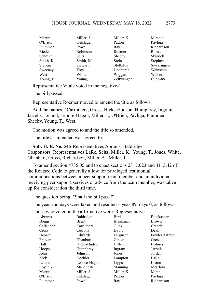| Merrin         | Miller, J.     | Miller, K. | Miranda         |
|----------------|----------------|------------|-----------------|
| O'Brien        | Oelslager      | Patton     | Pavliga         |
| Plummer        | Powell         | Ray        | Richardson      |
| Riedel         | Robinson       | Roemer     | Russo           |
| Schmidt        | Seitz          | Sheehy     | Skindell        |
| Smith, K.      | Smith, M.      | Stein      | <b>Stephens</b> |
| <b>Stevens</b> | <b>Stewart</b> | Stoltzfus  | Swearingen      |
| Sweeney        | Troy           | Upchurch   | Weinstein       |
| West           | White          | Wiggam     | Wilkin          |
| Young, B.      | Young, T.      | Zeltwanger | $C$ upp-88      |

Representative Vitale voted in the negative-1.

The bill passed.

Representative Roemer moved to amend the title as follows:

Add the names: "Carruthers, Gross, Hicks-Hudson, Humphrey, Ingram, Jarrells, Leland, Lepore-Hagan, Miller, J., O'Brien, Pavliga, Plummer, Sheehy, Young, T., West."

The motion was agreed to and the title so amended.

The title as amended was agreed to.

**Sub. H. B. No. 545**-Representatives Abrams, Baldridge. Cosponsors: Representatives LaRe, Seitz, Miller, K., Young, T., Jones, White, Ghanbari, Gross, Richardson, Miller, A., Miller, J.

To amend section 4735.05 and to enact sections 2317.023 and 4113.42 of the Revised Code to generally allow for privileged testimonial communications between a peer support team member and an individual receiving peer support services or advice from the team member, was taken up for consideration the third time.

The question being, "Shall the bill pass?"

The yeas and nays were taken and resulted – yeas 89, nays 0, as follows:

|              | $1000$ who voice in the animilative weight in contractive |                 |                   |
|--------------|-----------------------------------------------------------|-----------------|-------------------|
| Abrams       | Baldridge                                                 | Bird            | <b>Blackshear</b> |
| <b>Boggs</b> | <b>Brent</b>                                              | <b>Brinkman</b> | <b>Brown</b>      |
| Callender    | Carruthers                                                | Click           | Creech            |
| Cross        | Cutrona                                                   | Davis           | Dean              |
| Denson       | Edwards                                                   | Ferguson        | Fowler Arthur     |
| Fraizer      | Ghanbari                                                  | Ginter          | Gross             |
| Hall         | Hicks-Hudson                                              | Hillyer         | Holmes            |
| Hoops        | Humphrey                                                  | Ingram          | Jarrells          |
| John         | Johnson                                                   | Jones           | Jordan            |
| Kick         | Koehler                                                   | Lampton         | LaRe              |
| Leland       | Lepore-Hagan                                              | Lipps           | Liston            |
| Loychik      | Manchester                                                | Manning         | McClain           |
| Merrin       | Miller, J.                                                | Miller, K.      | Miranda           |
| O'Brien      | Oelslager                                                 | Patton          | Pavliga           |
| Plummer      | Powell                                                    | Ray             | Richardson        |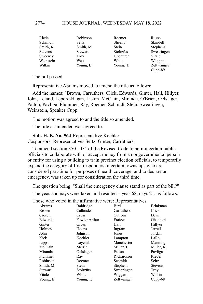| Riedel         | Robinson    | Roemer       | Russo           |
|----------------|-------------|--------------|-----------------|
| Schmidt        | Seitz       | Sheehy       | Skindell        |
| Smith, K.      | Smith, M.   | <b>Stein</b> | <b>Stephens</b> |
| <b>Stevens</b> | Stewart     | Stoltzfus    | Swearingen      |
| Sweeney        | <b>Troy</b> | Upchurch     | Vitale          |
| Weinstein      | West        | White        | Wiggam          |
| Wilkin         | Young, B.   | Young, T.    | Zeltwanger      |
|                |             |              | Cupp-89         |

The bill passed.

Representative Abrams moved to amend the title as follows:

Add the names: "Brown, Carruthers, Click, Edwards, Ginter, Hall, Hillyer, John, Leland, Lepore-Hagan, Liston, McClain, Miranda, O'Brien, Oelslager, Patton, Pavliga, Plummer, Ray, Roemer, Schmidt, Stein, Swearingen, Weinstein, Speaker Cupp."

The motion was agreed to and the title so amended.

The title as amended was agreed to.

**Sub. H. B. No. 564**-Representative Koehler. Cosponsors: Representatives Seitz, Ginter, Carruthers.

To amend section 3501.054 of the Revised Code to permit certain public officials to collaborate with or accept money from a nongovernmental person or entity for using a building to train precinct election officials, to temporarily expand the category of first responders of certain townships who are considered part-time for purposes of health coverage, and to declare an emergency, was taken up for consideration the third time.

The question being, "Shall the emergency clause stand as part of the bill?"

The yeas and nays were taken and resulted – yeas 68, nays 21, as follows:

|           | $\frac{1}{1000}$ who recent in the annihilative weight. Helpieseman res |                 |                 |
|-----------|-------------------------------------------------------------------------|-----------------|-----------------|
| Abrams    | Baldridge                                                               | Bird            | <b>Brinkman</b> |
| Brown     | Callender                                                               | Carruthers      | Click           |
| Creech    | <b>Cross</b>                                                            | Cutrona         | Dean            |
| Edwards   | Fowler Arthur                                                           | Fraizer         | Ghanbari        |
| Ginter    | Gross                                                                   | Hall            | Hillyer         |
| Holmes    | Hoops                                                                   | Ingram          | Jarrells        |
| John      | Johnson                                                                 | Jones           | Jordan          |
| Kick      | Koehler                                                                 | Lampton         | LaRe            |
| Lipps     | Loychik                                                                 | Manchester      | Manning         |
| McClain   | Merrin                                                                  | Miller, J.      | Miller, K.      |
| Miranda   | Oelslager                                                               | Patton          | Pavliga         |
| Plummer   | Ray                                                                     | Richardson      | Riedel          |
| Robinson  | Roemer                                                                  | Schmidt         | Seitz           |
| Smith, M. | Stein                                                                   | <b>Stephens</b> | <b>Stevens</b>  |
| Stewart   | <b>Stoltzfus</b>                                                        | Swearingen      | Troy            |
| Vitale    | White                                                                   | Wiggam          | Wilkin          |
| Young, B. | Young, T.                                                               | Zeltwanger      | $Cupp-68$       |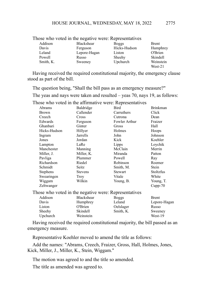|           | I nose who voted in the negative were. Representatives |              |              |
|-----------|--------------------------------------------------------|--------------|--------------|
| Addison   | Blackshear                                             | <b>Boggs</b> | <b>Brent</b> |
| Davis     | Ferguson                                               | Hicks-Hudson | Humphrey     |
| Leland    | Lepore-Hagan                                           | Liston       | O'Brien      |
| Powell    | Russo                                                  | Sheehy       | Skindell     |
| Smith, K. | Sweeney                                                | Upchurch     | Weinstein    |
|           |                                                        |              | West-21      |

Those who voted in the negative were: Representatives

Having received the required constitutional majority, the emergency clause stood as part of the bill.

The question being, "Shall the bill pass as an emergency measure?"

The yeas and nays were taken and resulted – yeas 70, nays 19, as follows:

Those who voted in the affirmative were: Representatives Abrams Baldridge Bird Brinkman

| Abrams                                                | Baldridge      | Bird           | Brinkman     |
|-------------------------------------------------------|----------------|----------------|--------------|
| <b>Brown</b>                                          | Callender      | Carruthers     | Click        |
| Creech                                                | Cross          | Cutrona        | Dean         |
| Edwards                                               | Ferguson       | Fowler Arthur  | Fraizer      |
| Ghanbari                                              | Ginter         | Gross          | Hall         |
| Hicks-Hudson                                          | Hillyer        | Holmes         | Hoops        |
| Ingram                                                | Jarrells       | John           | Johnson      |
| Jones                                                 | Jordan         | Kick           | Koehler      |
| Lampton                                               | LaRe           | Lipps          | Loychik      |
| Manchester                                            | Manning        | McClain        | Merrin       |
| Miller, J.                                            | Miller, K.     | Miranda        | Patton       |
| Pavliga                                               | Plummer        | Powell         | Ray          |
| Richardson                                            | Riedel         | Robinson       | Roemer       |
| Schmidt                                               | Seitz          | Smith, M.      | Stein        |
| <b>Stephens</b>                                       | <b>Stevens</b> | <b>Stewart</b> | Stoltzfus    |
| Swearingen                                            | Troy           | Vitale         | White        |
| Wiggam                                                | Wilkin         | Young, B.      | Young, T.    |
| Zeltwanger                                            |                |                | $Cupp-70$    |
| Those who voted in the negative were: Representatives |                |                |              |
| Addison                                               | Blackshear     | <b>Boggs</b>   | <b>Brent</b> |
| Davis                                                 | Humphrey       | Leland         | Lepore-Hagan |
| Liston                                                | O'Brien        | Oelslager      | Russo        |
| Sheehy                                                | Skindell       | Smith, K.      | Sweeney      |
| Upchurch                                              | Weinstein      |                | West-19      |

Having received the required constitutional majority, the bill passed as an emergency measure.

Representative Koehler moved to amend the title as follows:

Add the names: "Abrams, Creech, Fraizer, Gross, Hall, Holmes, Jones, Kick, Miller, J., Miller, K., Stein, Wiggam."

The motion was agreed to and the title so amended.

The title as amended was agreed to.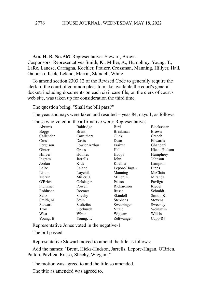#### **Am. H. B. No. 567**-Representatives Stewart, Brown.

Cosponsors: Representatives Smith, K., Miller, A., Humphrey, Young, T., LaRe, Lanese, Carfagna, Koehler, Fraizer, Crossman, Manning, Hillyer, Hall, Galonski, Kick, Leland, Merrin, Skindell, White.

To amend section 2303.12 of the Revised Code to generally require the clerk of the court of common pleas to make available the court's general docket, including documents on each civil case file, on the clerk of court's web site, was taken up for consideration the third time.

The question being, "Shall the bill pass?"

The yeas and nays were taken and resulted – yeas 84, nays 1, as follows:

Those who voted in the affirmative were: Representatives

| Abrams    | Baldridge     | Bird            | Blackshear     |
|-----------|---------------|-----------------|----------------|
| Boggs     | Brent         | <b>Brinkman</b> | <b>Brown</b>   |
| Callender | Carruthers    | Click           | Creech         |
| Cross     | Davis         | Dean            | Edwards        |
| Ferguson  | Fowler Arthur | Fraizer         | Ghanbari       |
| Ginter    | Gross         | Hall            | Hicks-Hudson   |
| Hillyer   | Holmes        | Hoops           | Humphrey       |
| Ingram    | Jarrells      | John            | Johnson        |
| Jordan    | Kick          | Koehler         | Lampton        |
| LaRe      | Leland        | Lepore-Hagan    | Lipps          |
| Liston    | Loychik       | Manning         | McClain        |
| Merrin    | Miller, J.    | Miller, K.      | Miranda        |
| O'Brien   | Oelslager     | Patton          | Pavliga        |
| Plummer   | Powell        | Richardson      | Riedel         |
| Robinson  | Roemer        | Russo           | Schmidt        |
| Seitz     | Sheehy        | Skindell        | Smith, K.      |
| Smith, M. | Stein         | <b>Stephens</b> | <b>Stevens</b> |
| Stewart   | Stoltzfus     | Swearingen      | Sweeney        |
| Troy      | Upchurch      | Vitale          | Weinstein      |
| West      | White         | Wiggam          | Wilkin         |
| Young, B. | Young, T.     | Zeltwanger      | $Cupp-84$      |

Representative Jones voted in the negative-1.

The bill passed.

Representative Stewart moved to amend the title as follows:

Add the names: "Brent, Hicks-Hudson, Jarrells, Lepore-Hagan, O'Brien, Patton, Pavliga, Russo, Sheehy, Wiggam."

The motion was agreed to and the title so amended.

The title as amended was agreed to.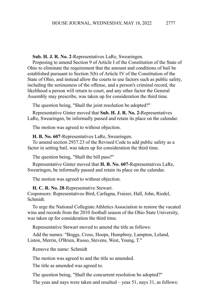# **Sub. H. J. R. No. 2**-Representatives LaRe, Swearingen.

Proposing to amend Section 9 of Article I of the Constitution of the State of Ohio to eliminate the requirement that the amount and conditions of bail be established pursuant to Section 5(b) of Article IV of the Constitution of the State of Ohio, and instead allow the courts to use factors such as public safety, including the seriousness of the offense, and a person's criminal record, the likelihood a person will return to court, and any other factor the General Assembly may prescribe, was taken up for consideration the third time.

The question being, "Shall the joint resolution be adopted?"

Representative Ginter moved that **Sub. H. J. R. No. 2-**Representatives LaRe, Swearingen, be informally passed and retain its place on the calendar.

The motion was agreed to without objection.

**H. B. No. 607**-Representatives LaRe, Swearingen.

To amend section 2937.23 of the Revised Code to add public safety as a factor in setting bail, was taken up for consideration the third time.

The question being, "Shall the bill pass?"

Representative Ginter moved that **H. B. No. 607-**Representatives LaRe, Swearingen, be informally passed and retain its place on the calendar.

The motion was agreed to without objection.

**H. C. R. No. 28**-Representative Stewart.

Cosponsors: Representatives Bird, Carfagna, Fraizer, Hall, John, Riedel, Schmidt.

To urge the National Collegiate Athletics Association to restore the vacated wins and records from the 2010 football season of the Ohio State University, was taken up for consideration the third time.

Representative Stewart moved to amend the title as follows:

Add the names: "Boggs, Cross, Hoops, Humphrey, Lampton, Leland, Liston, Merrin, O'Brien, Russo, Stevens, West, Young, T."

Remove the name: Schmidt

The motion was agreed to and the title so amended.

The title as amended was agreed to.

The question being, "Shall the concurrent resolution be adopted?"

The yeas and nays were taken and resulted – yeas 51, nays 31, as follows: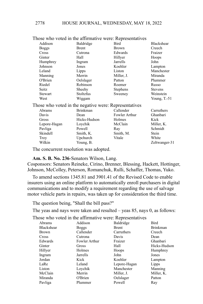|              | I hose who voted in the affirmative were: Representatives |                 |                |
|--------------|-----------------------------------------------------------|-----------------|----------------|
| Addison      | Baldridge                                                 | Bird            | Blackshear     |
| <b>Boggs</b> | Brent                                                     | Brown           | Creech         |
| Cross        | Cutrona                                                   | Edwards         | Fraizer        |
| Ginter       | Hall                                                      | Hillyer         | Hoops          |
| Humphrey     | Ingram                                                    | Jarrells        | John           |
| Johnson      | Jones                                                     | Koehler         | Lampton        |
| Leland       | Lipps                                                     | Liston          | Manchester     |
| Manning      | Merrin                                                    | Miller, J.      | Miranda        |
| O'Brien      | Oelslager                                                 | Patton          | Plummer        |
| Riedel       | Robinson                                                  | Roemer          | Russo          |
| Seitz        | Sheehy                                                    | <b>Stephens</b> | <b>Stevens</b> |
| Stewart      | Stoltzfus                                                 | Sweeney         | Weinstein      |
| West         | Wiggam                                                    |                 | Young, $T.-51$ |
|              | Those who voted in the negative were: Representatives     |                 |                |
| Abrams       | <b>Brinkman</b>                                           | Callender       | Carruthers     |
| Davis        | Dean                                                      | Fowler Arthur   | Ghanbari       |
| Gross        | Hicks-Hudson                                              | Holmes          | Kick           |
| Lepore-Hagan | Loychik                                                   | McClain         | Miller, K.     |
| Pavliga      | Powell                                                    | Ray             | Schmidt        |
| Skindell     | Smith, K.                                                 | Smith, M.       | Stein          |
| Troy         | Upchurch                                                  | Vitale          | White          |
| Wilkin       | Young, B.                                                 |                 | Zeltwanger-31  |
|              |                                                           |                 |                |

Those who voted in the affirmative were: Representatives

The concurrent resolution was adopted.

**Am. S. B. No. 236**-Senators Wilson, Lang.

Cosponsors: Senators Reineke, Cirino, Brenner, Blessing, Hackett, Hottinger, Johnson, McColley, Peterson, Romanchuk, Rulli, Schaffer, Thomas, Yuko.

To amend sections 1345.81 and 3901.41 of the Revised Code to enable insurers using an online platform to automatically enroll purchasers in digital communications and to modify a requirement regarding the use of salvage motor vehicle parts in repairs, was taken up for consideration the third time.

The question being, "Shall the bill pass?"

The yeas and nays were taken and resulted – yeas 85, nays 0, as follows:

| Bird            |
|-----------------|
|                 |
| <b>Brinkman</b> |
| Creech          |
| Dean            |
| Ghanbari        |
| Hicks-Hudson    |
| Humphrey        |
| Jones           |
| Lampton         |
| Lipps           |
| Manning         |
| Miller, K.      |
| Patton          |
| Ray             |
|                 |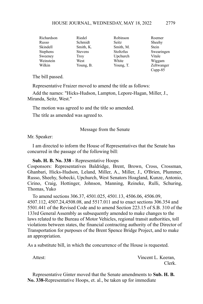| Richardson      | Riedel         | Robinson  | Roemer       |
|-----------------|----------------|-----------|--------------|
| Russo           | Schmidt        | Seitz     | Sheehy       |
| Skindell        | Smith, K.      | Smith, M. | <b>Stein</b> |
| <b>Stephens</b> | <b>Stevens</b> | Stoltzfus | Swearingen   |
| Sweeney         | Troy           | Upchurch  | Vitale       |
| Weinstein       | West           | White     | Wiggam       |
| Wilkin          | Young, B.      | Young, T. | Zeltwanger   |
|                 |                |           | $Cupp-85$    |

The bill passed.

Representative Fraizer moved to amend the title as follows:

Add the names: "Hicks-Hudson, Lampton, Lepore-Hagan, Miller, J., Miranda, Seitz, West."

The motion was agreed to and the title so amended.

The title as amended was agreed to.

Message from the Senate

Mr. Speaker:

I am directed to inform the House of Representatives that the Senate has concurred in the passage of the following bill:

#### **Sub. H. B. No. 338** - Representative Hoops

Cosponsors: Representatives Baldridge, Brent, Brown, Cross, Crossman, Ghanbari, Hicks-Hudson, Leland, Miller, A., Miller, J., O'Brien, Plummer, Russo, Sheehy, Sobecki, Upchurch, West Senators Hoagland, Kunze, Antonio, Cirino, Craig, Hottinger, Johnson, Manning, Reineke, Rulli, Schuring, Thomas, Yuko

To amend sections 306.37, 4501.025, 4501.13, 4506.06, 4506.09, 4507.112, 4507.24,4508.08, and 5517.011 and to enact sections 306.354 and 5501.441 of the Revised Code and to amend Section 223.15 of S.B. 310 of the 133rd General Assembly as subsequently amended to make changes to the laws related to the Bureau of Motor Vehicles, regional transit authorities, toll violations between states, the financial contracting authority of the Director of Transportation for purposes of the Brent Spence Bridge Project, and to make an appropriation.

As a substitute bill, in which the concurrence of the House is requested.

Attest: Vincent L. Keeran, Clerk.

Representative Ginter moved that the Senate amendments to **Sub. H. B. No. 338-**Representative Hoops, et. al., be taken up for immediate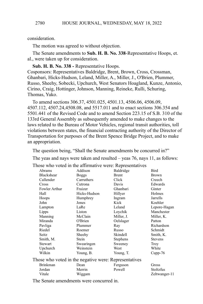consideration.

The motion was agreed to without objection.

The Senate amendments to **Sub. H. B. No. 338**-Representative Hoops, et. al., were taken up for consideration.

**Sub. H. B. No. 338 -** Representative Hoops.

Cosponsors: Representatives Baldridge, Brent, Brown, Cross, Crossman, Ghanbari, Hicks-Hudson, Leland, Miller, A., Miller, J., O'Brien, Plummer, Russo, Sheehy, Sobecki, Upchurch, West Senators Hoagland, Kunze, Antonio, Cirino, Craig, Hottinger, Johnson, Manning, Reineke, Rulli, Schuring, Thomas, Yuko.

To amend sections 306.37, 4501.025, 4501.13, 4506.06, 4506.09, 4507.112, 4507.24,4508.08, and 5517.011 and to enact sections 306.354 and 5501.441 of the Revised Code and to amend Section 223.15 of S.B. 310 of the 133rd General Assembly as subsequently amended to make changes to the laws related to the Bureau of Motor Vehicles, regional transit authorities, toll violations between states, the financial contracting authority of the Director of Transportation for purposes of the Brent Spence Bridge Project, and to make an appropriation.

The question being, "Shall the Senate amendments be concurred in?"

The yeas and nays were taken and resulted – yeas 76, nays 11, as follows:

Those who voted in the affirmative were: Representatives

|        | Abrams                                                | Addison      | Baldridge    | Bird           |
|--------|-------------------------------------------------------|--------------|--------------|----------------|
|        | Blackshear                                            | <b>Boggs</b> | <b>Brent</b> | Brown          |
|        | Callender                                             | Carruthers   | Click        | Creech         |
|        | Cross                                                 | Cutrona      | Davis        | Edwards        |
|        | Fowler Arthur                                         | Fraizer      | Ghanbari     | Ginter         |
|        | Hall                                                  | Hicks-Hudson | Hillyer      | Holmes         |
|        | Hoops                                                 | Humphrey     | Ingram       | Jarrells       |
|        | John                                                  | Jones        | Kick         | Koehler        |
|        | Lampton                                               | LaRe         | Leland       | Lepore-Hagan   |
|        | Lipps                                                 | Liston       | Loychik      | Manchester     |
|        | Manning                                               | McClain      | Miller, J.   | Miller, K.     |
|        | Miranda                                               | O'Brien      | Oelslager    | Patton         |
|        | Pavliga                                               | Plummer      | Ray          | Richardson     |
|        | Riedel                                                | Roemer       | Russo        | Schmidt        |
|        | Seitz                                                 | Sheehy       | Skindell     | Smith, K.      |
|        | Smith, M.                                             | Stein        | Stephens     | <b>Stevens</b> |
|        | Stewart                                               | Swearingen   | Sweeney      | Troy           |
|        | Upchurch                                              | Weinstein    | West         | White          |
|        | Wilkin                                                | Young, B.    | Young, T.    | $Cupp-76$      |
|        | Those who voted in the negative were: Representatives |              |              |                |
|        | <b>Brinkman</b>                                       | Dean         | Ferguson     | Gross          |
|        | Jordan                                                | Merrin       | Powell       | Stoltzfus      |
|        | Vitale                                                | Wiggam       |              | Zeltwanger-11  |
| $\sim$ | $\sim$                                                |              |              |                |

The Senate amendments were concurred in.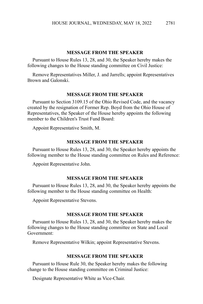#### **MESSAGE FROM THE SPEAKER**

Pursuant to House Rules 13, 28, and 30, the Speaker hereby makes the following changes to the House standing committee on Civil Justice:

Remove Representatives Miller, J. and Jarrells; appoint Representatives Brown and Galonski.

#### **MESSAGE FROM THE SPEAKER**

Pursuant to Section 3109.15 of the Ohio Revised Code, and the vacancy created by the resignation of Former Rep. Boyd from the Ohio House of Representatives, the Speaker of the House hereby appoints the following member to the Children's Trust Fund Board:

Appoint Representative Smith, M.

# **MESSAGE FROM THE SPEAKER**

Pursuant to House Rules 13, 28, and 30, the Speaker hereby appoints the following member to the House standing committee on Rules and Reference:

Appoint Representative John.

#### **MESSAGE FROM THE SPEAKER**

Pursuant to House Rules 13, 28, and 30, the Speaker hereby appoints the following member to the House standing committee on Health:

Appoint Representative Stevens.

#### **MESSAGE FROM THE SPEAKER**

Pursuant to House Rules 13, 28, and 30, the Speaker hereby makes the following changes to the House standing committee on State and Local Government:

Remove Representative Wilkin; appoint Representative Stevens.

#### **MESSAGE FROM THE SPEAKER**

Pursuant to House Rule 30, the Speaker hereby makes the following change to the House standing committee on Criminal Justice:

Designate Representative White as Vice-Chair.